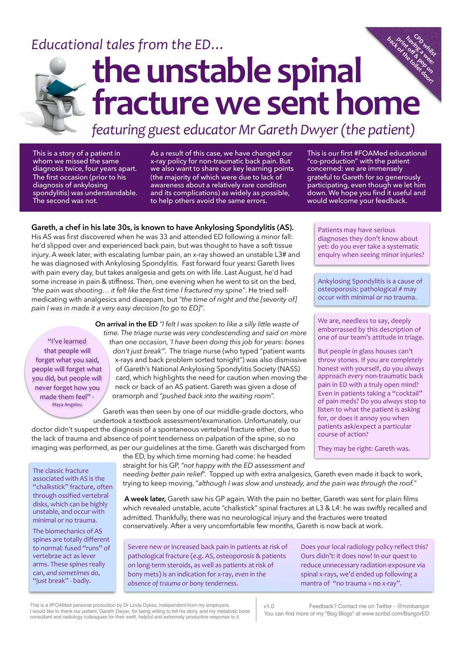## Educational tales from the ED...



### **the unstable spinal fracture we sent home CPD**<br>Inde whilst **back**<br>which and the strain<br>the strain of the strain<br>and the strain of the strain of **print of the copy of the copy of the copy of the copy of the copy of the copy of the copy of the copy of the co having a wee:**

*featuring guest educator Mr Gareth Dwyer (the patient)* 

This is a story of a patient in whom we missed the same diagnosis twice, four years apart. The first occasion (prior to his diagnosis of ankylosing spondylitis) was understandable. The second was not.

As a result of this case, we have changed our x-ray policy for non-traumatic back pain. But we also want to share our key learning points (the majority of which were due to lack of awareness about a relatively rare condition and its complications) as widely as possible, to help others avoid the same errors.

#### **Gareth, a chef in his late 30s, is known to have Ankylosing Spondylitis (AS).**

His AS was first discovered when he was 33 and attended ED following a minor fall: he'd slipped over and experienced back pain, but was thought to have a soft tissue injury. A week later, with escalating lumbar pain, an x-ray showed an unstable L3# and he was diagnosed with Ankylosing Spondylitis. Fast forward four years**:** Gareth lives with pain every day, but takes analgesia and gets on with life. Last August, he'd had some increase in pain & stiffness. Then, one evening when he went to sit on the bed, *"the pain was shooting… it felt like the first time I fractured my spine"*. He tried selfmedicating with analgesics and diazepam, but *"the time of night and the [severity of] pain I was in made it a very easy decision [to go to ED]"*.

"I've learned that people will forget what you said, people will forget what you did, but people will never forget how you made them feel" -Maya Angelou

The classic fracture associated with AS is the "chalkstick" fracture, often through ossified vertebral disks, which can be highly unstable, and occur with minimal or no trauma. The biomechanics of AS spines are totally different to normal: fused "runs" of vertebrae act as lever arms. These spines really can, *and* sometimes do, "just break" - badly.

**On arrival in the ED** *"I felt I was spoken to like a silly little waste of time. The triage nurse was very condescending and said on more* 

*than one occasion, 'I have been doing this job for years*: *bones don't just break*'". The triage nurse (who typed "patient wants x-rays and back problem sorted tonight") was also dismissive of Gareth's National Ankylosing Spondylitis Society (NASS) card, which highlights the need for caution when moving the neck or back of an AS patient. Gareth was given a dose of oramorph and *"pushed back into the waiting room*".

Gareth was then seen by one of our middle-grade doctors, who undertook a textbook assessment/examination. Unfortunately, our doctor didn't suspect the diagnosis of a spontaneous vertebral fracture either, due to the lack of trauma and absence of point tenderness on palpation of the spine, so no imaging was performed, as per our guidelines at the time. Gareth was discharged from

the ED, by which time morning had come: he headed

straight for his GP, *"not happy with the ED assessment and* 

*needing better pain relief*". Topped up with extra analgesics, Gareth even made it back to work, trying to keep moving, "*although I was slow and unsteady, and the pain was through the roof.*"

 **A week later,** Gareth saw his GP again. With the pain no better, Gareth was sent for plain films which revealed unstable, acute "chalkstick" spinal fractures at L3 & L4: he was swiftly recalled and admitted. Thankfully, there was no neurological injury and the fractures were treated conservatively. After a very uncomfortable few months, Gareth is now back at work.

Severe new or increased back pain in patients at risk of pathological fracture (e.g. AS, osteoporosis & patients on long-term steroids, as well as patients at risk of bony mets) is an indication for x-ray, *even* in the *absence of trauma or bony tenderness*. 

Does your local radiology policy reflect this? Ours didn't: it does now! In our quest to reduce unnecessary radiation exposure via spinal x-rays, we'd ended up following a mantra of "no trauma =  $no x-ray"$ .

This is a #FOAMed personal production by Dr Linda Dykes, independent from my employers.<br>I would like to thank our patient, Gareth Dwyer, for being willing to tell his story, and my metabolic bone<br>consultant and radiology c

This is our first #FOAMed educational "co-production" with the patient concerned: we are immensely grateful to Gareth for so generously participating, even though we let him down. We hope you find it useful and would welcome your feedback.

Patients may have serious diagnoses they don't know about yet: do you ever take a systematic enquiry when seeing minor injuries?

Ankylosing Spondylitis is a cause of osteoporosis:  $pathological # may$ occur with minimal or no trauma. 

We are, needless to say, deeply embarrassed by this description of one of our team's attitude in triage.

But people in glass houses can't throw stones. If you are *completely* honest with yourself, do you *always* approach *every* non-traumatic back pain in ED with a truly open mind? Even in patients taking a "cocktail" of pain meds? Do you always stop to listen to what the patient is asking for, or does it annoy you when patients ask/expect a particular course of action?

They may be right: Gareth was.